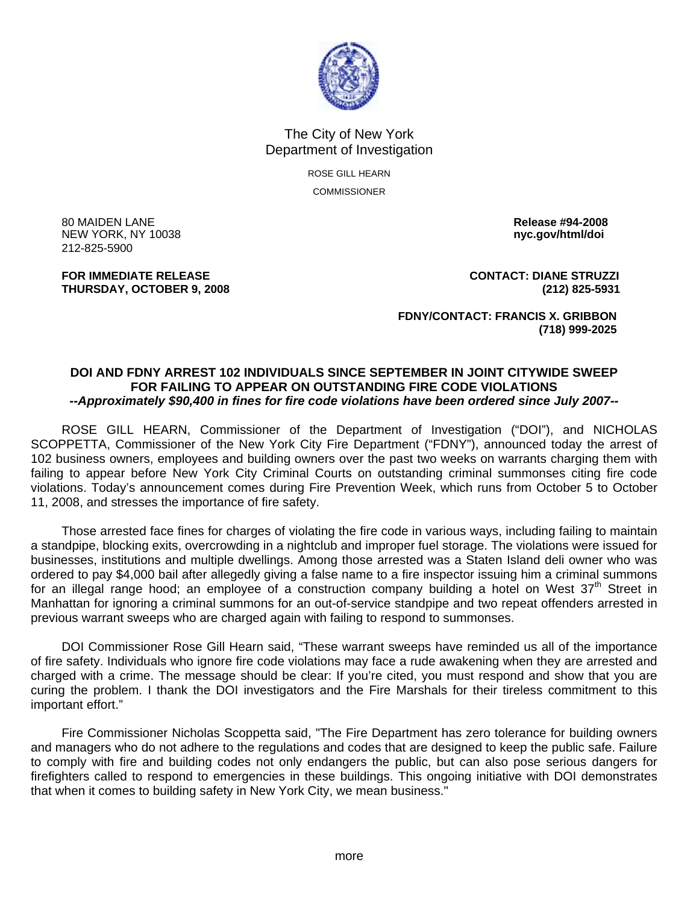

## The City of New York Department of Investigation

ROSE GILL HEARN COMMISSIONER

80 MAIDEN LANE **Release #94-2008 NEW YORK, NY 10038** 212-825-5900

**THURSDAY, OCTOBER 9, 2008 (212) 825-5931**

**FOR IMMEDIATE RELEASE CONTACT: DIANE STRUZZI** 

 **FDNY/CONTACT: FRANCIS X. GRIBBON (718) 999-2025** 

## **DOI AND FDNY ARREST 102 INDIVIDUALS SINCE SEPTEMBER IN JOINT CITYWIDE SWEEP FOR FAILING TO APPEAR ON OUTSTANDING FIRE CODE VIOLATIONS**  *--Approximately \$90,400 in fines for fire code violations have been ordered since July 2007--*

 ROSE GILL HEARN, Commissioner of the Department of Investigation ("DOI"), and NICHOLAS SCOPPETTA, Commissioner of the New York City Fire Department ("FDNY"), announced today the arrest of 102 business owners, employees and building owners over the past two weeks on warrants charging them with failing to appear before New York City Criminal Courts on outstanding criminal summonses citing fire code violations. Today's announcement comes during Fire Prevention Week, which runs from October 5 to October 11, 2008, and stresses the importance of fire safety.

 Those arrested face fines for charges of violating the fire code in various ways, including failing to maintain a standpipe, blocking exits, overcrowding in a nightclub and improper fuel storage. The violations were issued for businesses, institutions and multiple dwellings. Among those arrested was a Staten Island deli owner who was ordered to pay \$4,000 bail after allegedly giving a false name to a fire inspector issuing him a criminal summons for an illegal range hood; an employee of a construction company building a hotel on West  $37<sup>th</sup>$  Street in Manhattan for ignoring a criminal summons for an out-of-service standpipe and two repeat offenders arrested in previous warrant sweeps who are charged again with failing to respond to summonses.

 DOI Commissioner Rose Gill Hearn said, "These warrant sweeps have reminded us all of the importance of fire safety. Individuals who ignore fire code violations may face a rude awakening when they are arrested and charged with a crime. The message should be clear: If you're cited, you must respond and show that you are curing the problem. I thank the DOI investigators and the Fire Marshals for their tireless commitment to this important effort."

 Fire Commissioner Nicholas Scoppetta said, "The Fire Department has zero tolerance for building owners and managers who do not adhere to the regulations and codes that are designed to keep the public safe. Failure to comply with fire and building codes not only endangers the public, but can also pose serious dangers for firefighters called to respond to emergencies in these buildings. This ongoing initiative with DOI demonstrates that when it comes to building safety in New York City, we mean business."